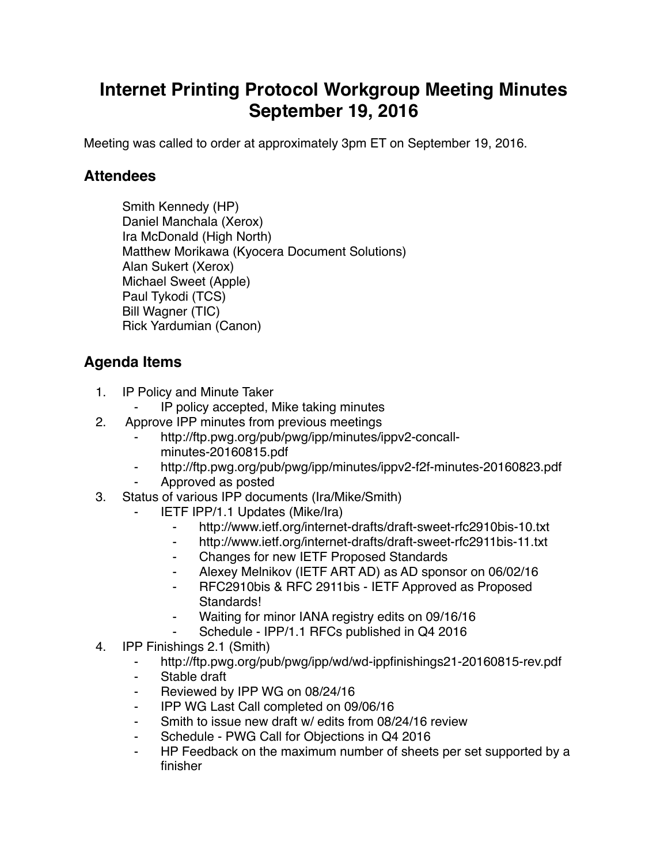## **Internet Printing Protocol Workgroup Meeting Minutes September 19, 2016**

Meeting was called to order at approximately 3pm ET on September 19, 2016.

## **Attendees**

Smith Kennedy (HP) Daniel Manchala (Xerox) Ira McDonald (High North) Matthew Morikawa (Kyocera Document Solutions) Alan Sukert (Xerox) Michael Sweet (Apple) Paul Tykodi (TCS) Bill Wagner (TIC) Rick Yardumian (Canon)

## **Agenda Items**

- 1. IP Policy and Minute Taker
	- IP policy accepted, Mike taking minutes
- 2. Approve IPP minutes from previous meetings
	- http://ftp.pwg.org/pub/pwg/ipp/minutes/ippv2-concallminutes-20160815.pdf
	- ⁃ http://ftp.pwg.org/pub/pwg/ipp/minutes/ippv2-f2f-minutes-20160823.pdf ⁃ Approved as posted
- 3. Status of various IPP documents (Ira/Mike/Smith)
	- **IETF IPP/1.1 Updates (Mike/Ira)** 
		- ⁃ http://www.ietf.org/internet-drafts/draft-sweet-rfc2910bis-10.txt
		- ⁃ http://www.ietf.org/internet-drafts/draft-sweet-rfc2911bis-11.txt
		- ⁃ Changes for new IETF Proposed Standards
		- ⁃ Alexey Melnikov (IETF ART AD) as AD sponsor on 06/02/16
		- ⁃ RFC2910bis & RFC 2911bis IETF Approved as Proposed Standards!
		- Waiting for minor IANA registry edits on 09/16/16
		- Schedule IPP/1.1 RFCs published in Q4 2016
- 4. IPP Finishings 2.1 (Smith)
	- ⁃ http://ftp.pwg.org/pub/pwg/ipp/wd/wd-ippfinishings21-20160815-rev.pdf
	- ⁃ Stable draft
	- Reviewed by IPP WG on 08/24/16
	- ⁃ IPP WG Last Call completed on 09/06/16
	- ⁃ Smith to issue new draft w/ edits from 08/24/16 review
	- Schedule PWG Call for Objections in Q4 2016
	- ⁃ HP Feedback on the maximum number of sheets per set supported by a finisher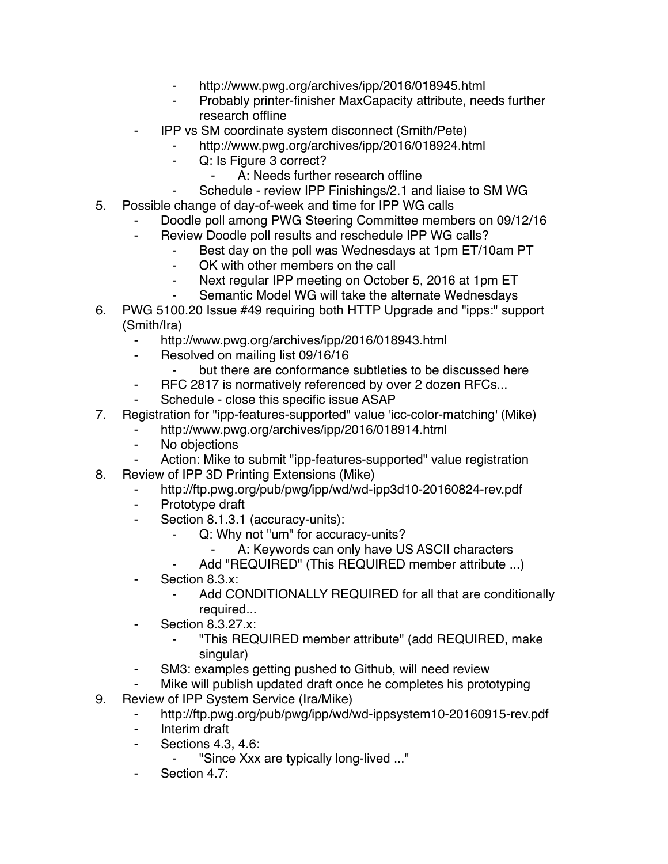- http://www.pwg.org/archives/ipp/2016/018945.html
- Probably printer-finisher MaxCapacity attribute, needs further research offline
- ⁃ IPP vs SM coordinate system disconnect (Smith/Pete)
	- ⁃ http://www.pwg.org/archives/ipp/2016/018924.html
	- ⁃ Q: Is Figure 3 correct?
		- ⁃ A: Needs further research offline
	- Schedule review IPP Finishings/2.1 and liaise to SM WG
- 5. Possible change of day-of-week and time for IPP WG calls
	- Doodle poll among PWG Steering Committee members on 09/12/16
	- ⁃ Review Doodle poll results and reschedule IPP WG calls?
		- ⁃ Best day on the poll was Wednesdays at 1pm ET/10am PT
		- ⁃ OK with other members on the call
		- ⁃ Next regular IPP meeting on October 5, 2016 at 1pm ET
		- Semantic Model WG will take the alternate Wednesdays
- 6. PWG 5100.20 Issue #49 requiring both HTTP Upgrade and "ipps:" support (Smith/Ira)
	- http://www.pwg.org/archives/ipp/2016/018943.html
	- Resolved on mailing list 09/16/16
		- but there are conformance subtleties to be discussed here
	- RFC 2817 is normatively referenced by over 2 dozen RFCs...
	- Schedule close this specific issue ASAP
- 7. Registration for "ipp-features-supported" value 'icc-color-matching' (Mike)
	- http://www.pwg.org/archives/ipp/2016/018914.html
	- ⁃ No objections
	- Action: Mike to submit "ipp-features-supported" value registration
- 8. Review of IPP 3D Printing Extensions (Mike)
	- ⁃ http://ftp.pwg.org/pub/pwg/ipp/wd/wd-ipp3d10-20160824-rev.pdf
	- Prototype draft
	- ⁃ Section 8.1.3.1 (accuracy-units):
		- Q: Why not "um" for accuracy-units?
			- A: Keywords can only have US ASCII characters
		- Add "REQUIRED" (This REQUIRED member attribute ...)
	- Section 8.3 x:
		- Add CONDITIONALLY REQUIRED for all that are conditionally required...
	- ⁃ Section 8.3.27.x:
		- ⁃ "This REQUIRED member attribute" (add REQUIRED, make singular)
	- SM3: examples getting pushed to Github, will need review
	- Mike will publish updated draft once he completes his prototyping
- 9. Review of IPP System Service (Ira/Mike)
	- http://ftp.pwg.org/pub/pwg/ipp/wd/wd-ippsystem10-20160915-rev.pdf
	- ⁃ Interim draft
	- ⁃ Sections 4.3, 4.6:
		- ⁃ "Since Xxx are typically long-lived ..."
	- ⁃ Section 4.7: